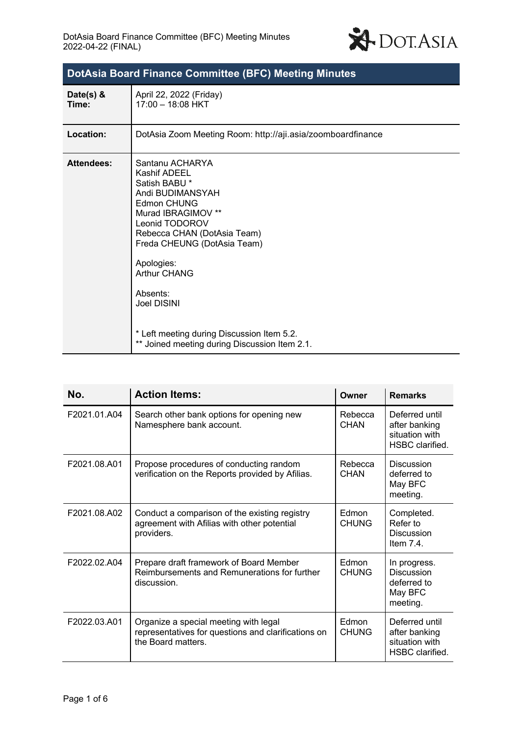

| <b>DotAsia Board Finance Committee (BFC) Meeting Minutes</b> |                                                                                                                                                                                                                                                                                                                                                                 |  |  |
|--------------------------------------------------------------|-----------------------------------------------------------------------------------------------------------------------------------------------------------------------------------------------------------------------------------------------------------------------------------------------------------------------------------------------------------------|--|--|
| Date(s) &<br>Time:                                           | April 22, 2022 (Friday)<br>17:00 - 18:08 HKT                                                                                                                                                                                                                                                                                                                    |  |  |
| Location:                                                    | DotAsia Zoom Meeting Room: http://aji.asia/zoomboardfinance                                                                                                                                                                                                                                                                                                     |  |  |
| <b>Attendees:</b>                                            | Santanu ACHARYA<br>Kashif ADEEL<br>Satish BABU *<br>Andi BUDIMANSYAH<br>Edmon CHUNG<br>Murad IBRAGIMOV **<br>Leonid TODOROV<br>Rebecca CHAN (DotAsia Team)<br>Freda CHEUNG (DotAsia Team)<br>Apologies:<br><b>Arthur CHANG</b><br>Absents:<br><b>Joel DISINI</b><br>* Left meeting during Discussion Item 5.2.<br>** Joined meeting during Discussion Item 2.1. |  |  |

| No.          | <b>Action Items:</b>                                                                                               | Owner                 | <b>Remarks</b>                                                          |
|--------------|--------------------------------------------------------------------------------------------------------------------|-----------------------|-------------------------------------------------------------------------|
| F2021.01.A04 | Search other bank options for opening new<br>Namesphere bank account.                                              | Rebecca<br>CHAN       | Deferred until<br>after banking<br>situation with<br>HSBC clarified.    |
| F2021.08.A01 | Propose procedures of conducting random<br>verification on the Reports provided by Afilias.                        | Rebecca<br>CHAN       | Discussion<br>deferred to<br>May BFC<br>meeting.                        |
| F2021.08.A02 | Conduct a comparison of the existing registry<br>agreement with Afilias with other potential<br>providers.         | Edmon<br><b>CHUNG</b> | Completed.<br>Refer to<br>Discussion<br>Item $7.4$ .                    |
| F2022.02.A04 | Prepare draft framework of Board Member<br>Reimbursements and Remunerations for further<br>discussion.             | Edmon<br><b>CHUNG</b> | In progress.<br><b>Discussion</b><br>deferred to<br>May BFC<br>meeting. |
| F2022.03.A01 | Organize a special meeting with legal<br>representatives for questions and clarifications on<br>the Board matters. | Edmon<br><b>CHUNG</b> | Deferred until<br>after banking<br>situation with<br>HSBC clarified.    |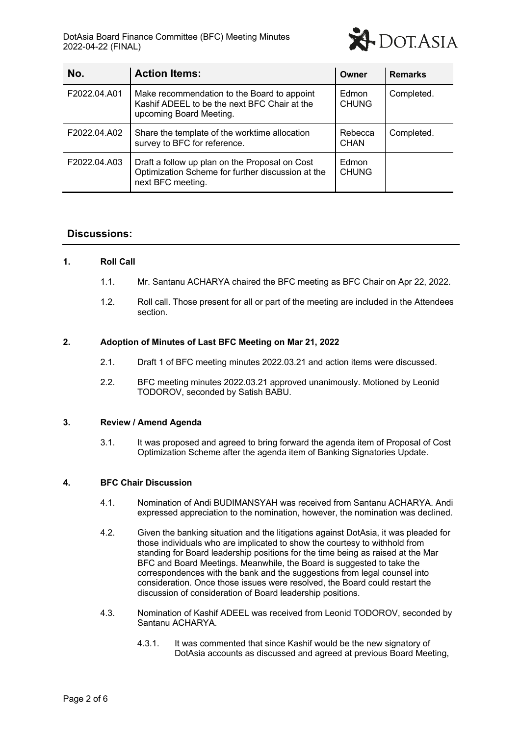

| No.          | <b>Action Items:</b>                                                                                                     | Owner                  | <b>Remarks</b> |
|--------------|--------------------------------------------------------------------------------------------------------------------------|------------------------|----------------|
| F2022.04.A01 | Make recommendation to the Board to appoint<br>Kashif ADEEL to be the next BFC Chair at the<br>upcoming Board Meeting.   | Edmon<br><b>CHUNG</b>  | Completed.     |
| F2022.04.A02 | Share the template of the worktime allocation<br>survey to BFC for reference.                                            | Rebecca<br><b>CHAN</b> | Completed.     |
| F2022.04.A03 | Draft a follow up plan on the Proposal on Cost<br>Optimization Scheme for further discussion at the<br>next BFC meeting. | Edmon<br><b>CHUNG</b>  |                |

# **Discussions:**

## **1. Roll Call**

- 1.1. Mr. Santanu ACHARYA chaired the BFC meeting as BFC Chair on Apr 22, 2022.
- 1.2. Roll call. Those present for all or part of the meeting are included in the Attendees section.

### **2. Adoption of Minutes of Last BFC Meeting on Mar 21, 2022**

- 2.1. Draft 1 of BFC meeting minutes 2022.03.21 and action items were discussed.
- 2.2. BFC meeting minutes 2022.03.21 approved unanimously. Motioned by Leonid TODOROV, seconded by Satish BABU.

#### **3. Review / Amend Agenda**

3.1. It was proposed and agreed to bring forward the agenda item of Proposal of Cost Optimization Scheme after the agenda item of Banking Signatories Update.

#### **4. BFC Chair Discussion**

- 4.1. Nomination of Andi BUDIMANSYAH was received from Santanu ACHARYA. Andi expressed appreciation to the nomination, however, the nomination was declined.
- 4.2. Given the banking situation and the litigations against DotAsia, it was pleaded for those individuals who are implicated to show the courtesy to withhold from standing for Board leadership positions for the time being as raised at the Mar BFC and Board Meetings. Meanwhile, the Board is suggested to take the correspondences with the bank and the suggestions from legal counsel into consideration. Once those issues were resolved, the Board could restart the discussion of consideration of Board leadership positions.
- 4.3. Nomination of Kashif ADEEL was received from Leonid TODOROV, seconded by Santanu ACHARYA.
	- 4.3.1. It was commented that since Kashif would be the new signatory of DotAsia accounts as discussed and agreed at previous Board Meeting,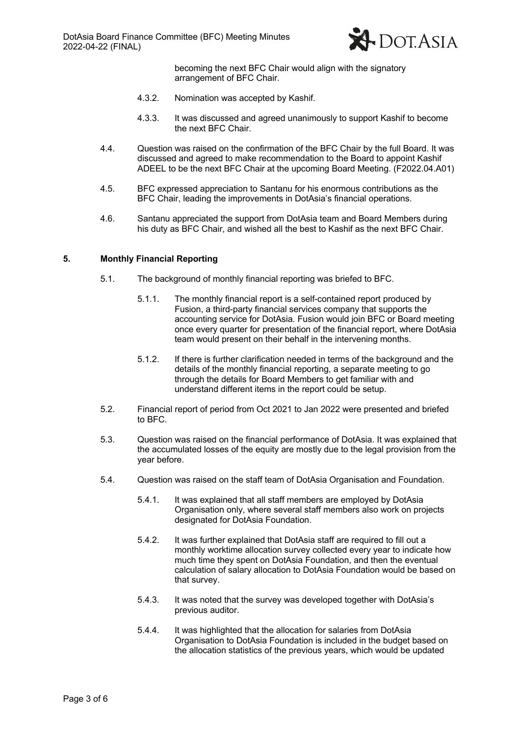

becoming the next BFC Chair would align with the signatory arrangement of BFC Chair.

- 4.3.2. Nomination was accepted by Kashif.
- 4.3.3. It was discussed and agreed unanimously to support Kashif to become the next BFC Chair.
- 4.4. Question was raised on the confirmation of the BFC Chair by the full Board. It was discussed and agreed to make recommendation to the Board to appoint Kashif ADEEL to be the next BFC Chair at the upcoming Board Meeting. (F2022.04.A01)
- 4.5. BFC expressed appreciation to Santanu for his enormous contributions as the BFC Chair, leading the improvements in DotAsia's financial operations.
- 4.6. Santanu appreciated the support from DotAsia team and Board Members during his duty as BFC Chair, and wished all the best to Kashif as the next BFC Chair.

## **5. Monthly Financial Reporting**

- 5.1. The background of monthly financial reporting was briefed to BFC.
	- 5.1.1. The monthly financial report is a self-contained report produced by Fusion, a third-party financial services company that supports the accounting service for DotAsia. Fusion would join BFC or Board meeting once every quarter for presentation of the financial report, where DotAsia team would present on their behalf in the intervening months.
	- 5.1.2. If there is further clarification needed in terms of the background and the details of the monthly financial reporting, a separate meeting to go through the details for Board Members to get familiar with and understand different items in the report could be setup.
- 5.2. Financial report of period from Oct 2021 to Jan 2022 were presented and briefed to BFC.
- 5.3. Question was raised on the financial performance of DotAsia. It was explained that the accumulated losses of the equity are mostly due to the legal provision from the year before.
- 5.4. Question was raised on the staff team of DotAsia Organisation and Foundation.
	- 5.4.1. It was explained that all staff members are employed by DotAsia Organisation only, where several staff members also work on projects designated for DotAsia Foundation.
	- 5.4.2. It was further explained that DotAsia staff are required to fill out a monthly worktime allocation survey collected every year to indicate how much time they spent on DotAsia Foundation, and then the eventual calculation of salary allocation to DotAsia Foundation would be based on that survey.
	- 5.4.3. It was noted that the survey was developed together with DotAsia's previous auditor.
	- 5.4.4. It was highlighted that the allocation for salaries from DotAsia Organisation to DotAsia Foundation is included in the budget based on the allocation statistics of the previous years, which would be updated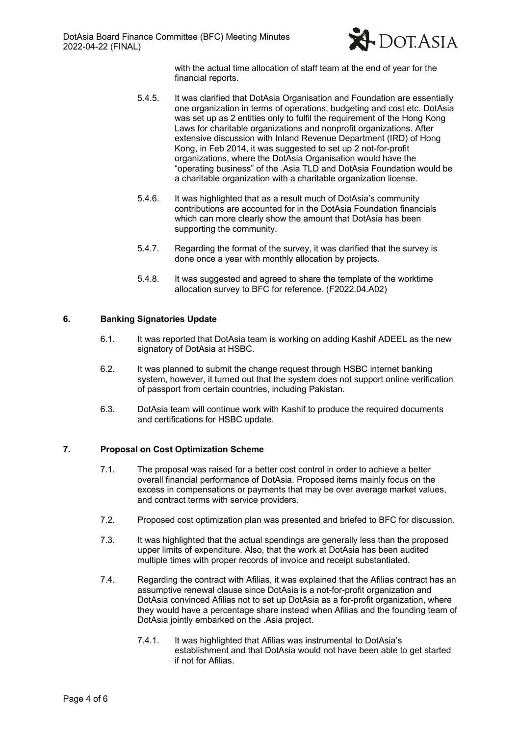

with the actual time allocation of staff team at the end of year for the financial reports.

- 5.4.5. It was clarified that DotAsia Organisation and Foundation are essentially one organization in terms of operations, budgeting and cost etc. DotAsia was set up as 2 entities only to fulfil the requirement of the Hong Kong Laws for charitable organizations and nonprofit organizations. After extensive discussion with Inland Revenue Department (IRD) of Hong Kong, in Feb 2014, it was suggested to set up 2 not-for-profit organizations, where the DotAsia Organisation would have the "operating business" of the .Asia TLD and DotAsia Foundation would be a charitable organization with a charitable organization license.
- 5.4.6. It was highlighted that as a result much of DotAsia's community contributions are accounted for in the DotAsia Foundation financials which can more clearly show the amount that DotAsia has been supporting the community.
- 5.4.7. Regarding the format of the survey, it was clarified that the survey is done once a year with monthly allocation by projects.
- 5.4.8. It was suggested and agreed to share the template of the worktime allocation survey to BFC for reference. (F2022.04.A02)

## **6. Banking Signatories Update**

- 6.1. It was reported that DotAsia team is working on adding Kashif ADEEL as the new signatory of DotAsia at HSBC.
- 6.2. It was planned to submit the change request through HSBC internet banking system, however, it turned out that the system does not support online verification of passport from certain countries, including Pakistan.
- 6.3. DotAsia team will continue work with Kashif to produce the required documents and certifications for HSBC update.

## **7. Proposal on Cost Optimization Scheme**

- 7.1. The proposal was raised for a better cost control in order to achieve a better overall financial performance of DotAsia. Proposed items mainly focus on the excess in compensations or payments that may be over average market values, and contract terms with service providers.
- 7.2. Proposed cost optimization plan was presented and briefed to BFC for discussion.
- 7.3. It was highlighted that the actual spendings are generally less than the proposed upper limits of expenditure. Also, that the work at DotAsia has been audited multiple times with proper records of invoice and receipt substantiated.
- 7.4. Regarding the contract with Afilias, it was explained that the Afilias contract has an assumptive renewal clause since DotAsia is a not-for-profit organization and DotAsia convinced Afilias not to set up DotAsia as a for-profit organization, where they would have a percentage share instead when Afilias and the founding team of DotAsia jointly embarked on the .Asia project.
	- 7.4.1. It was highlighted that Afilias was instrumental to DotAsia's establishment and that DotAsia would not have been able to get started if not for Afilias.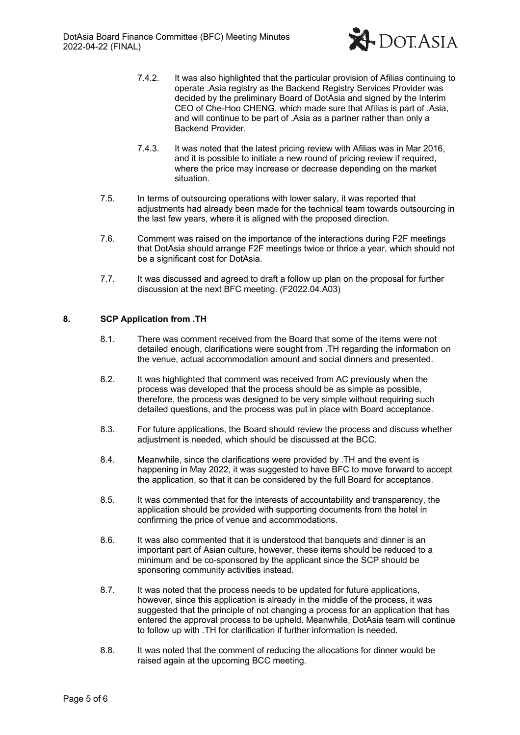

- 7.4.2. It was also highlighted that the particular provision of Afilias continuing to operate .Asia registry as the Backend Registry Services Provider was decided by the preliminary Board of DotAsia and signed by the Interim CEO of Che-Hoo CHENG, which made sure that Afilias is part of .Asia, and will continue to be part of .Asia as a partner rather than only a Backend Provider.
- 7.4.3. It was noted that the latest pricing review with Afilias was in Mar 2016, and it is possible to initiate a new round of pricing review if required, where the price may increase or decrease depending on the market situation.
- 7.5. In terms of outsourcing operations with lower salary, it was reported that adjustments had already been made for the technical team towards outsourcing in the last few years, where it is aligned with the proposed direction.
- 7.6. Comment was raised on the importance of the interactions during F2F meetings that DotAsia should arrange F2F meetings twice or thrice a year, which should not be a significant cost for DotAsia.
- 7.7. It was discussed and agreed to draft a follow up plan on the proposal for further discussion at the next BFC meeting. (F2022.04.A03)

# **8. SCP Application from .TH**

- 8.1. There was comment received from the Board that some of the items were not detailed enough, clarifications were sought from .TH regarding the information on the venue, actual accommodation amount and social dinners and presented.
- 8.2. It was highlighted that comment was received from AC previously when the process was developed that the process should be as simple as possible, therefore, the process was designed to be very simple without requiring such detailed questions, and the process was put in place with Board acceptance.
- 8.3. For future applications, the Board should review the process and discuss whether adjustment is needed, which should be discussed at the BCC.
- 8.4. Meanwhile, since the clarifications were provided by .TH and the event is happening in May 2022, it was suggested to have BFC to move forward to accept the application, so that it can be considered by the full Board for acceptance.
- 8.5. It was commented that for the interests of accountability and transparency, the application should be provided with supporting documents from the hotel in confirming the price of venue and accommodations.
- 8.6. It was also commented that it is understood that banquets and dinner is an important part of Asian culture, however, these items should be reduced to a minimum and be co-sponsored by the applicant since the SCP should be sponsoring community activities instead.
- 8.7. It was noted that the process needs to be updated for future applications, however, since this application is already in the middle of the process, it was suggested that the principle of not changing a process for an application that has entered the approval process to be upheld. Meanwhile, DotAsia team will continue to follow up with .TH for clarification if further information is needed.
- 8.8. It was noted that the comment of reducing the allocations for dinner would be raised again at the upcoming BCC meeting.